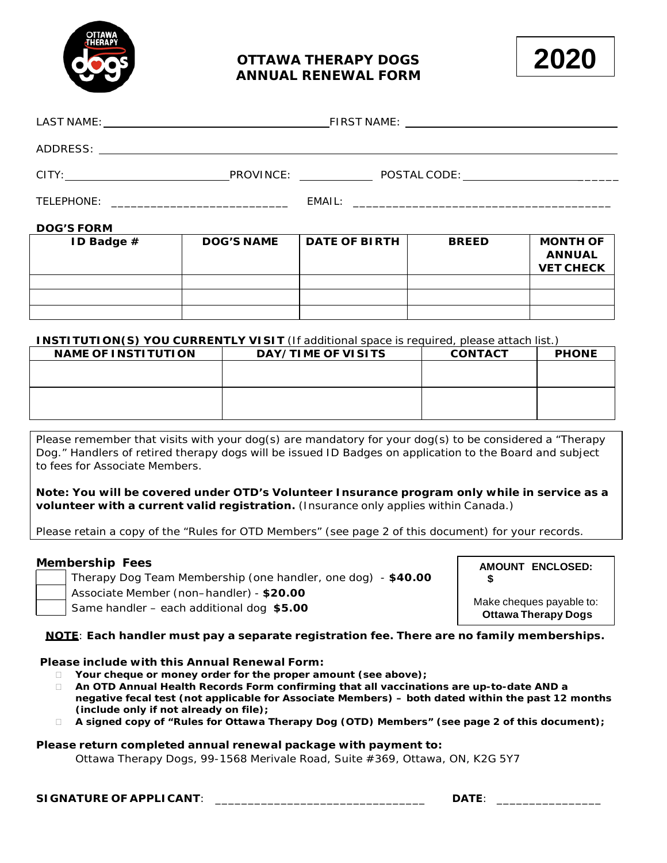

# **OTTAWA THERAPY DOGS ANNUAL RENEWAL FORM**



| CITY:             | PROVINCE: The contract of the contract of the contract of the contract of the contract of the contract of the contract of the contract of the contract of the contract of the contract of the contract of the contract of the |  | POSTAL CODE: ________________________________ |
|-------------------|-------------------------------------------------------------------------------------------------------------------------------------------------------------------------------------------------------------------------------|--|-----------------------------------------------|
| TELEPHONE:        |                                                                                                                                                                                                                               |  |                                               |
| <u> 888658855</u> |                                                                                                                                                                                                                               |  |                                               |

### **DOG'S FORM**

| ID Badge $#$ | <b>DOG'S NAME</b> | <b>DATE OF BIRTH</b> | <b>BREED</b> | <b>MONTH OF</b><br><b>ANNUAL</b><br><b>VET CHECK</b> |
|--------------|-------------------|----------------------|--------------|------------------------------------------------------|
|              |                   |                      |              |                                                      |
|              |                   |                      |              |                                                      |
|              |                   |                      |              |                                                      |

### **INSTITUTION(S) YOU CURRENTLY VISIT** (If additional space is required, please attach list.)

| <b>NAME OF INSTITUTION</b> | DAY/TIME OF VISITS | <b>CONTACT</b> | <b>PHONE</b> |
|----------------------------|--------------------|----------------|--------------|
|                            |                    |                |              |
|                            |                    |                |              |
|                            |                    |                |              |
|                            |                    |                |              |
|                            |                    |                |              |

Please remember that visits with your dog(s) are mandatory for your dog(s) to be considered a "Therapy Dog." Handlers of retired therapy dogs will be issued ID Badges on application to the Board and subject to fees for Associate Members.

**Note: You will be covered under OTD's Volunteer Insurance program only while in service as a volunteer with a current valid registration.** (Insurance only applies within Canada.)

Please retain a copy of the "Rules for OTD Members" (see page 2 of this document) for your records.

### **Membership Fees**

| Therapy Dog Team Membership (one handler, one dog) - \$40.00 |  |
|--------------------------------------------------------------|--|
| Associate Member (non-handler) - \$20.00                     |  |

Same handler – each additional dog **\$5.00**

#### **AMOUNT ENCLOSED: \$**

Make cheques payable to: **Ottawa Therapy Dogs**

**NOTE**: **Each handler must pay a separate registration fee. There are no family memberships.**

### **Please include with this Annual Renewal Form:**

- **Your cheque or money order for the proper amount (see above);**
- **An OTD Annual Health Records Form confirming that all vaccinations are up-to-date AND a negative fecal test (not applicable for Associate Members) – both dated within the past 12 months (include only if not already on file);**
- **A signed copy of "Rules for Ottawa Therapy Dog (OTD) Members" (see page 2 of this document);**

### **Please return completed annual renewal package with payment to:**

Ottawa Therapy Dogs, 99-1568 Merivale Road, Suite #369, Ottawa, ON, K2G 5Y7

**SIGNATURE OF APPLICANT**: \_\_\_\_\_\_\_\_\_\_\_\_\_\_\_\_\_\_\_\_\_\_\_\_\_\_\_\_\_\_\_\_ **DATE**: \_\_\_\_\_\_\_\_\_\_\_\_\_\_\_\_